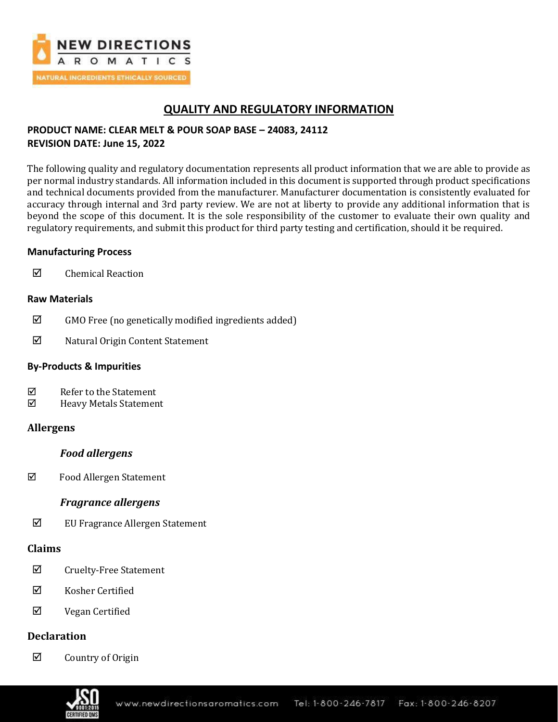

# **QUALITY AND REGULATORY INFORMATION**

## **PRODUCT NAME: CLEAR MELT & POUR SOAP BASE – 24083, 24112 REVISION DATE: June 15, 2022**

The following quality and regulatory documentation represents all product information that we are able to provide as per normal industry standards. All information included in this document is supported through product specifications and technical documents provided from the manufacturer. Manufacturer documentation is consistently evaluated for accuracy through internal and 3rd party review. We are not at liberty to provide any additional information that is beyond the scope of this document. It is the sole responsibility of the customer to evaluate their own quality and regulatory requirements, and submit this product for third party testing and certification, should it be required.

## **Manufacturing Process**

**☑** Chemical Reaction

## **Raw Materials**

- $\boxtimes$  GMO Free (no genetically modified ingredients added)
- $\boxed{✓}$  Natural Origin Content Statement

## **By-Products & Impurities**

- $\nabla$  Refer to the Statement
- $\boxtimes$  Heavy Metals Statement

## **Allergens**

## *Food allergens*

Food Allergen Statement

## *Fragrance allergens*

EU Fragrance Allergen Statement

## **Claims**

- $\Phi$  Cruelty-Free Statement
- $\boxtimes$  Kosher Certified
- $\boxtimes$  Vegan Certified

## **Declaration**

 $\boxtimes$  Country of Origin

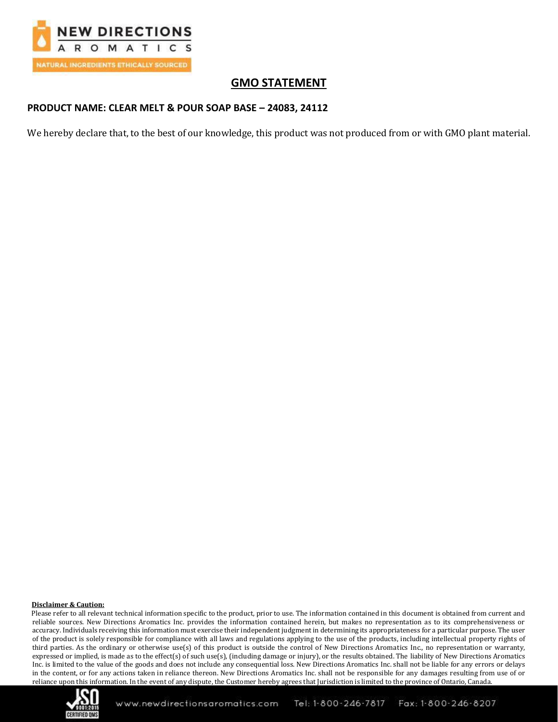

# **GMO STATEMENT**

## **PRODUCT NAME: CLEAR MELT & POUR SOAP BASE – 24083, 24112**

We hereby declare that, to the best of our knowledge, this product was not produced from or with GMO plant material.

### **Disclaimer & Caution:**

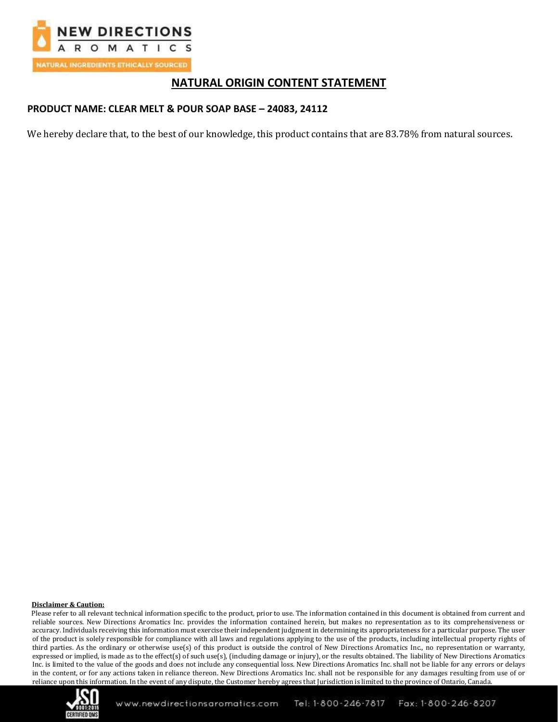

## **NATURAL ORIGIN CONTENT STATEMENT**

### **PRODUCT NAME: CLEAR MELT & POUR SOAP BASE – 24083, 24112**

We hereby declare that, to the best of our knowledge, this product contains that are 83.78% from natural sources.

### **Disclaimer & Caution:**

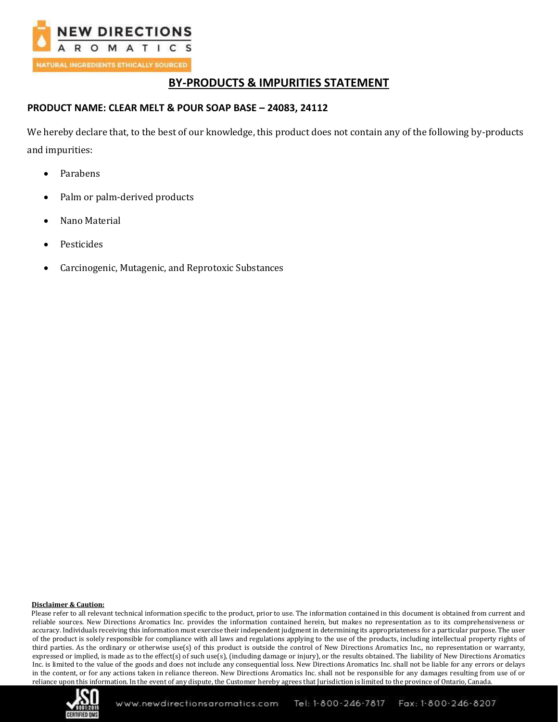

## **BY-PRODUCTS & IMPURITIES STATEMENT**

## **PRODUCT NAME: CLEAR MELT & POUR SOAP BASE – 24083, 24112**

We hereby declare that, to the best of our knowledge, this product does not contain any of the following by-products and impurities:

- Parabens
- Palm or palm-derived products
- Nano Material
- **Pesticides**
- Carcinogenic, Mutagenic, and Reprotoxic Substances

### **Disclaimer & Caution:**

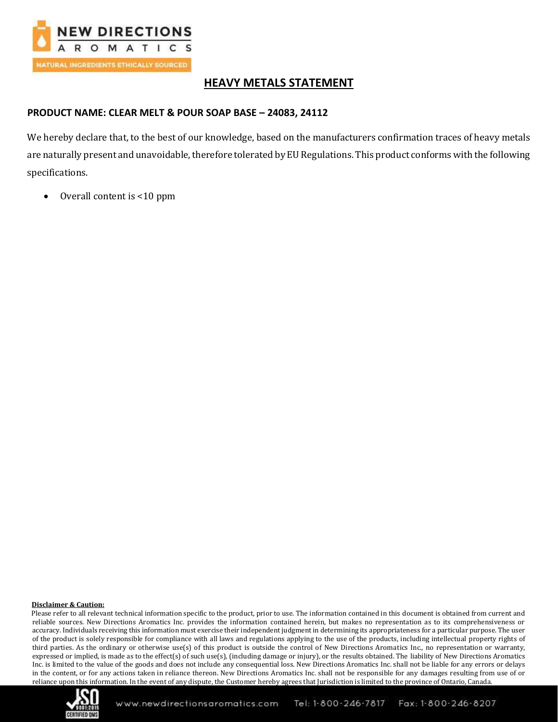

# **HEAVY METALS STATEMENT**

## **PRODUCT NAME: CLEAR MELT & POUR SOAP BASE – 24083, 24112**

We hereby declare that, to the best of our knowledge, based on the manufacturers confirmation traces of heavy metals are naturally present and unavoidable, therefore tolerated by EU Regulations. This product conforms with the following specifications.

• Overall content is <10 ppm

### **Disclaimer & Caution:**

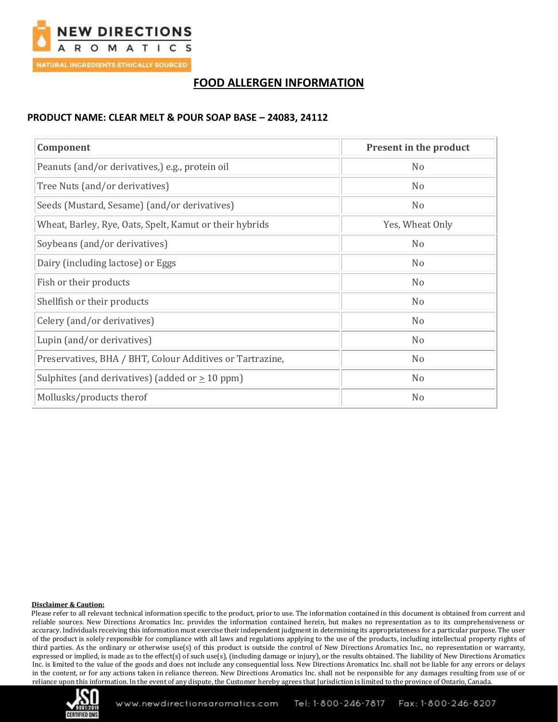

# **FOOD ALLERGEN INFORMATION**

### **PRODUCT NAME: CLEAR MELT & POUR SOAP BASE – 24083, 24112**

| Component                                                 | Present in the product |
|-----------------------------------------------------------|------------------------|
| Peanuts (and/or derivatives,) e.g., protein oil           | N <sub>0</sub>         |
| Tree Nuts (and/or derivatives)                            | N <sub>0</sub>         |
| Seeds (Mustard, Sesame) (and/or derivatives)              | N <sub>o</sub>         |
| Wheat, Barley, Rye, Oats, Spelt, Kamut or their hybrids   | Yes, Wheat Only        |
| Soybeans (and/or derivatives)                             | N <sub>0</sub>         |
| Dairy (including lactose) or Eggs                         | N <sub>0</sub>         |
| Fish or their products                                    | N <sub>0</sub>         |
| Shellfish or their products                               | N <sub>0</sub>         |
| Celery (and/or derivatives)                               | N <sub>o</sub>         |
| Lupin (and/or derivatives)                                | N <sub>0</sub>         |
| Preservatives, BHA / BHT, Colour Additives or Tartrazine, | N <sub>0</sub>         |
| Sulphites (and derivatives) (added or $\geq 10$ ppm)      | N <sub>o</sub>         |
| Mollusks/products therof                                  | N <sub>o</sub>         |

### **Disclaimer & Caution:**

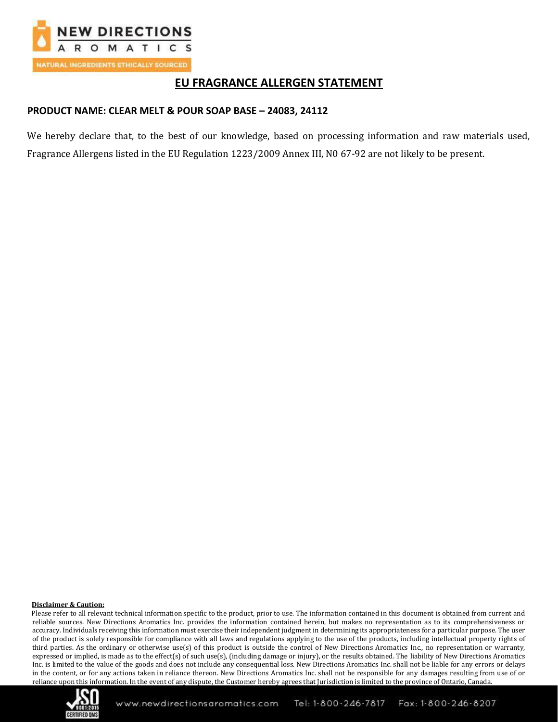

# **EU FRAGRANCE ALLERGEN STATEMENT**

## **PRODUCT NAME: CLEAR MELT & POUR SOAP BASE – 24083, 24112**

We hereby declare that, to the best of our knowledge, based on processing information and raw materials used, Fragrance Allergens listed in the EU Regulation 1223/2009 Annex III, N0 67-92 are not likely to be present.

### **Disclaimer & Caution:**

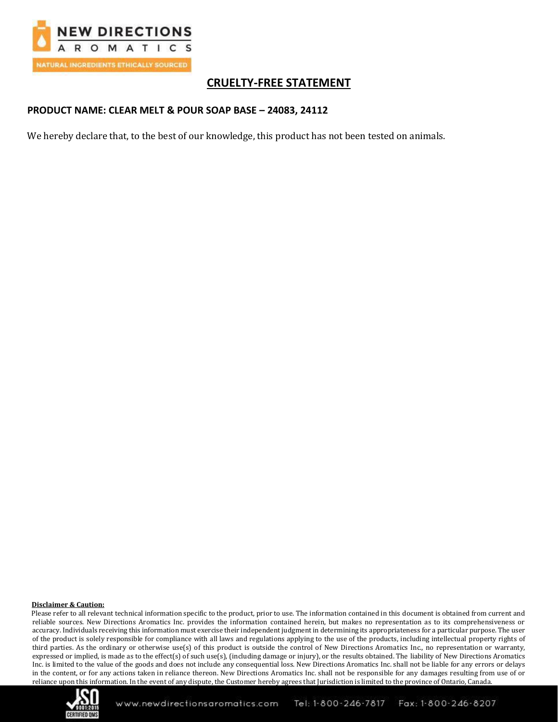

# **CRUELTY-FREE STATEMENT**

## **PRODUCT NAME: CLEAR MELT & POUR SOAP BASE – 24083, 24112**

We hereby declare that, to the best of our knowledge, this product has not been tested on animals.

### **Disclaimer & Caution:**

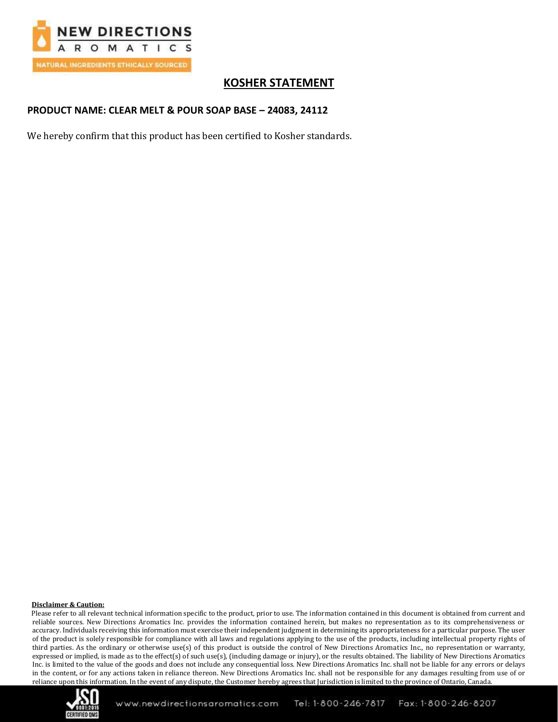

# **KOSHER STATEMENT**

## **PRODUCT NAME: CLEAR MELT & POUR SOAP BASE – 24083, 24112**

We hereby confirm that this product has been certified to Kosher standards.

### **Disclaimer & Caution:**

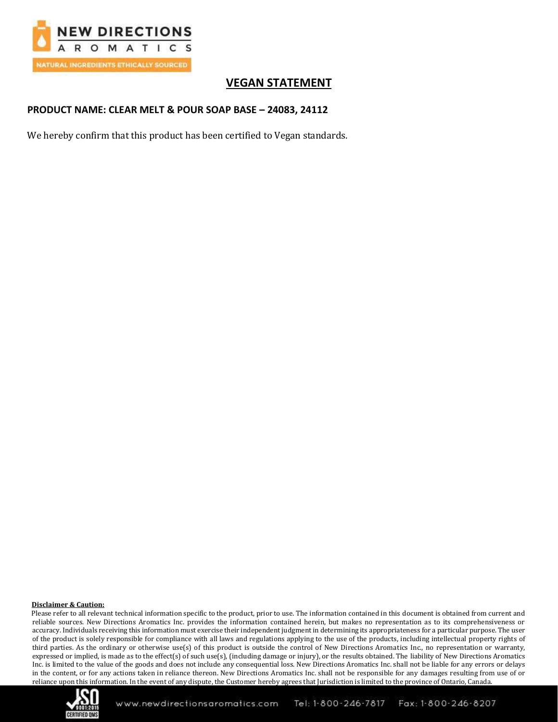

# **VEGAN STATEMENT**

## **PRODUCT NAME: CLEAR MELT & POUR SOAP BASE – 24083, 24112**

We hereby confirm that this product has been certified to Vegan standards.

### **Disclaimer & Caution:**